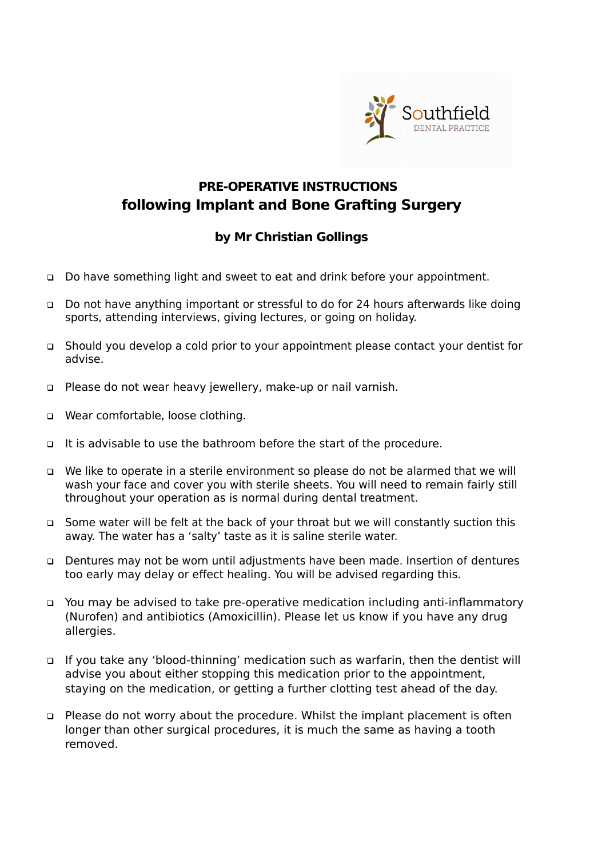

## **PRE-OPERATIVE INSTRUCTIONS following Implant and Bone Grafting Surgery**

## **by Mr Christian Gollings**

- □ Do have something light and sweet to eat and drink before your appointment.
- Do not have anything important or stressful to do for 24 hours afterwards like doing sports, attending interviews, giving lectures, or going on holiday.
- Should you develop a cold prior to your appointment please contact your dentist for advise.
- □ Please do not wear heavy jewellery, make-up or nail varnish.
- □ Wear comfortable, loose clothing.
- It is advisable to use the bathroom before the start of the procedure.
- We like to operate in a sterile environment so please do not be alarmed that we will wash your face and cover you with sterile sheets. You will need to remain fairly still throughout your operation as is normal during dental treatment.
- Some water will be felt at the back of your throat but we will constantly suction this away. The water has a 'salty' taste as it is saline sterile water.
- Dentures may not be worn until adjustments have been made. Insertion of dentures too early may delay or effect healing. You will be advised regarding this.
- You may be advised to take pre-operative medication including anti-inflammatory (Nurofen) and antibiotics (Amoxicillin). Please let us know if you have any drug allergies.
- If you take any 'blood-thinning' medication such as warfarin, then the dentist will advise you about either stopping this medication prior to the appointment, staying on the medication, or getting a further clotting test ahead of the day.
- Please do not worry about the procedure. Whilst the implant placement is often longer than other surgical procedures, it is much the same as having a tooth removed.